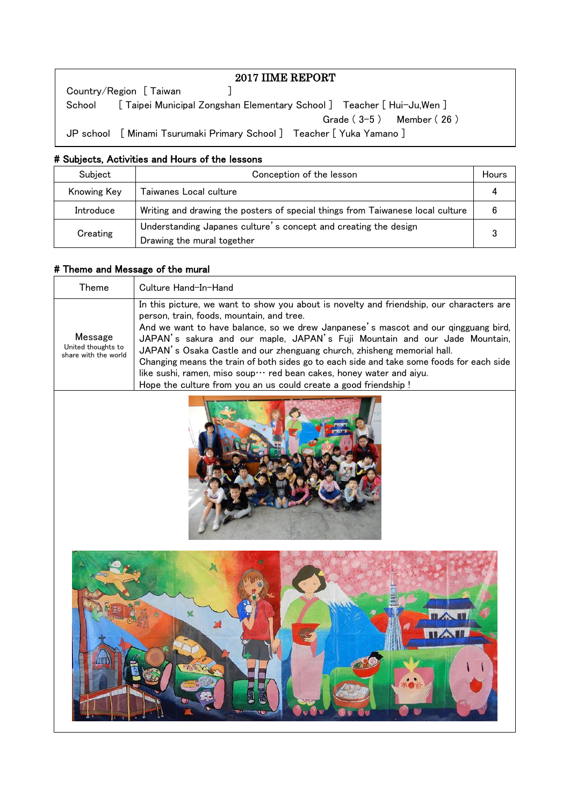| 2017 IIME REPORT                                                               |
|--------------------------------------------------------------------------------|
| Country/Region [ Taiwan                                                        |
| School [ Taipei Municipal Zongshan Elementary School ] Teacher [ Hui-Ju, Wen ] |
| Grade $(3-5)$ Member $(26)$                                                    |
| JP school [ Minami Tsurumaki Primary School ] Teacher [ Yuka Yamano ]          |

## # Subjects, Activities and Hours of the lessons

| Subject                                                                                                   | Conception of the lesson                                                       |  |
|-----------------------------------------------------------------------------------------------------------|--------------------------------------------------------------------------------|--|
| Knowing Key                                                                                               | Taiwanes Local culture                                                         |  |
| Introduce                                                                                                 | Writing and drawing the posters of special things from Taiwanese local culture |  |
| Understanding Japanes culture's concept and creating the design<br>Creating<br>Drawing the mural together |                                                                                |  |

### # Theme and Message of the mural

| Theme                                                 | Culture Hand-In-Hand                                                                                                                                                                                                                                                                                                                                                                                                                                                                                                                                                                                                       |
|-------------------------------------------------------|----------------------------------------------------------------------------------------------------------------------------------------------------------------------------------------------------------------------------------------------------------------------------------------------------------------------------------------------------------------------------------------------------------------------------------------------------------------------------------------------------------------------------------------------------------------------------------------------------------------------------|
| Message<br>United thoughts to<br>share with the world | In this picture, we want to show you about is novelty and friendship, our characters are<br>person, train, foods, mountain, and tree.<br>And we want to have balance, so we drew Janpanese's mascot and our gingguang bird,<br>JAPAN's sakura and our maple, JAPAN's Fuji Mountain and our Jade Mountain,<br>JAPAN's Osaka Castle and our zhenguang church, zhisheng memorial hall.<br>Changing means the train of both sides go to each side and take some foods for each side<br>like sushi, ramen, miso soup… red bean cakes, honey water and aiyu.<br>Hope the culture from you an us could create a good friendship ! |



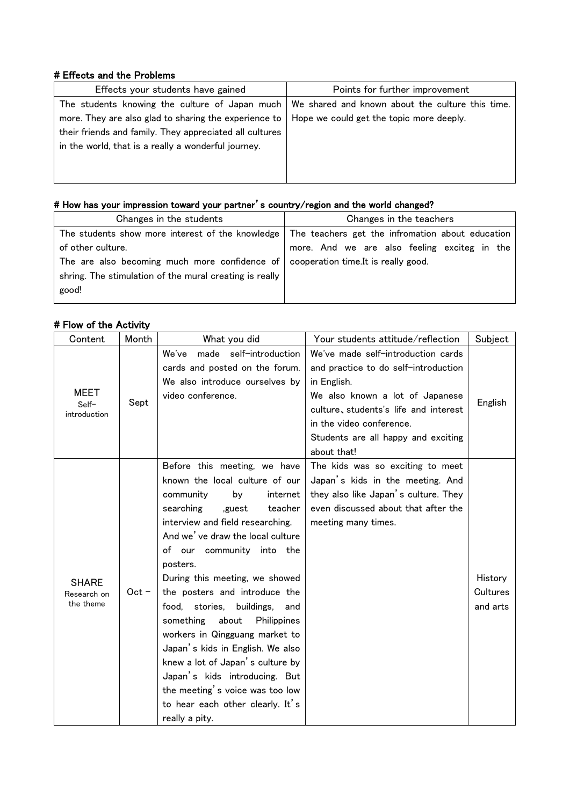#### # Effects and the Problems

| Effects your students have gained                                                                       | Points for further improvement           |
|---------------------------------------------------------------------------------------------------------|------------------------------------------|
| The students knowing the culture of Japan much $\vert$ We shared and known about the culture this time. |                                          |
| more. They are also glad to sharing the experience to                                                   | Hope we could get the topic more deeply. |
| their friends and family. They appreciated all cultures                                                 |                                          |
| in the world, that is a really a wonderful journey.                                                     |                                          |
|                                                                                                         |                                          |
|                                                                                                         |                                          |

# # How has your impression toward your partner's country/region and the world changed?

| The teachers get the infromation about education                                   |
|------------------------------------------------------------------------------------|
| more. And we are also feeling exciteg in the                                       |
| The are also becoming much more confidence of cooperation time. It is really good. |
|                                                                                    |
|                                                                                    |
|                                                                                    |

## # Flow of the Activity

| Content                                  | Month   | What you did                                                                                                                                                                                                                                                                                                                                                                                                                                                                                                                                                                                                                           | Your students attitude/reflection                                                                                                                                                                                                                       | Subject                         |
|------------------------------------------|---------|----------------------------------------------------------------------------------------------------------------------------------------------------------------------------------------------------------------------------------------------------------------------------------------------------------------------------------------------------------------------------------------------------------------------------------------------------------------------------------------------------------------------------------------------------------------------------------------------------------------------------------------|---------------------------------------------------------------------------------------------------------------------------------------------------------------------------------------------------------------------------------------------------------|---------------------------------|
| MEET<br>Self-<br>introduction            | Sept    | made self-introduction<br>We've<br>cards and posted on the forum.<br>We also introduce ourselves by<br>video conference.                                                                                                                                                                                                                                                                                                                                                                                                                                                                                                               | We've made self-introduction cards<br>and practice to do self-introduction<br>in English.<br>We also known a lot of Japanese<br>culture, students's life and interest<br>in the video conference.<br>Students are all happy and exciting<br>about that! | English                         |
| <b>SHARE</b><br>Research on<br>the theme | $Oct -$ | Before this meeting, we have<br>known the local culture of our<br>internet<br>community<br>bv<br>searching<br>teacher<br>,guest<br>interview and field researching.<br>And we've draw the local culture<br>of our community into the<br>posters.<br>During this meeting, we showed<br>the posters and introduce the<br>stories,<br>buildings,<br>food.<br>and<br>about<br>something<br>Philippines<br>workers in Qingguang market to<br>Japan's kids in English. We also<br>knew a lot of Japan's culture by<br>Japan's kids introducing. But<br>the meeting's voice was too low<br>to hear each other clearly. It's<br>really a pity. | The kids was so exciting to meet<br>Japan's kids in the meeting. And<br>they also like Japan's culture. They<br>even discussed about that after the<br>meeting many times.                                                                              | History<br>Cultures<br>and arts |